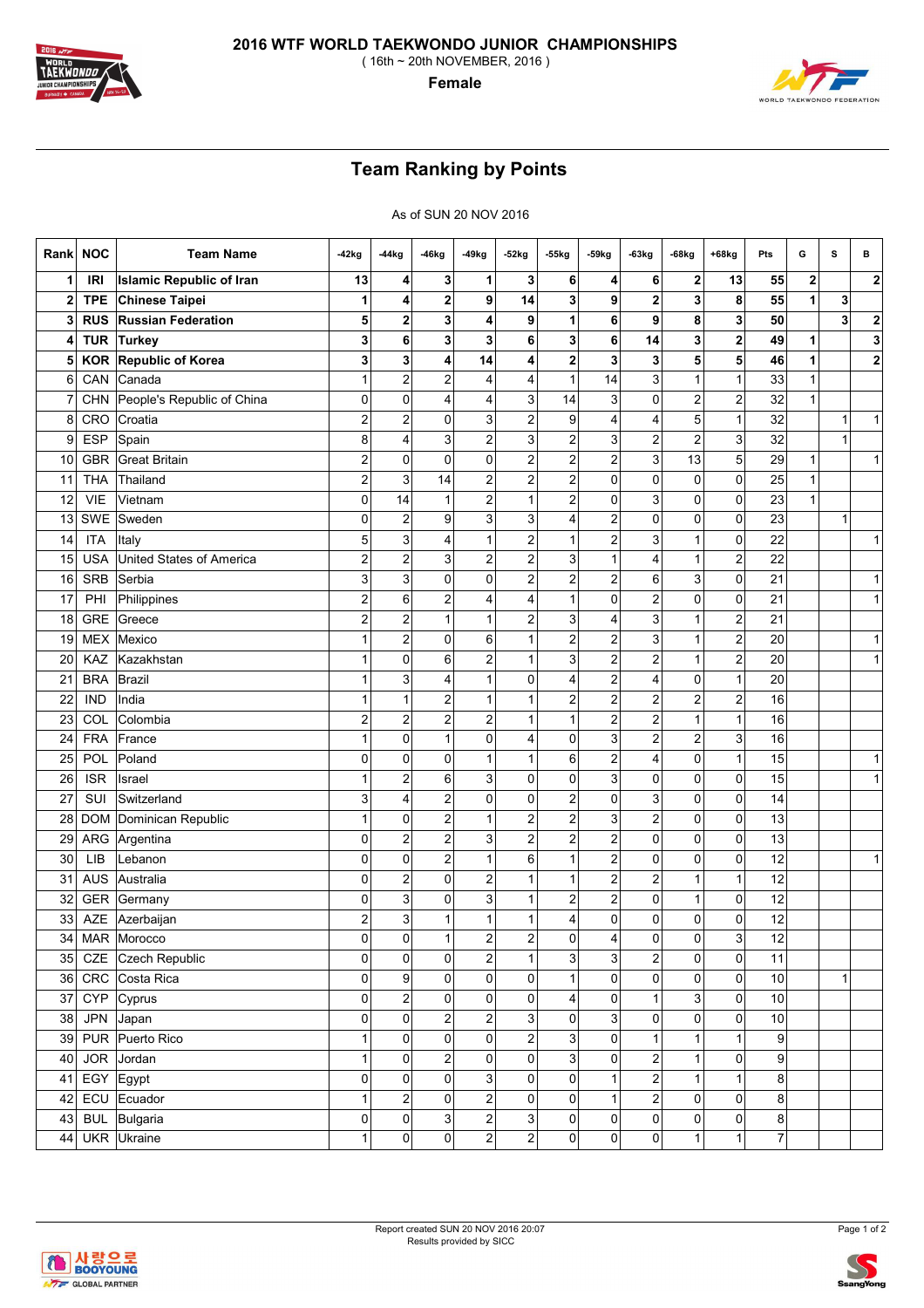

**Female**

## **Team Ranking by Points**

As of SUN 20 NOV 2016

| Rankl        | <b>NOC</b> | <b>Team Name</b>                | -42kg                   | $-44kg$                 | $-46kg$                 | -49kg                   | -52kg                   | -55kg                   | -59kg                   | $-63kg$                 | $-68kg$                 | $+68kg$                 | Pts  | G                       | s | в |
|--------------|------------|---------------------------------|-------------------------|-------------------------|-------------------------|-------------------------|-------------------------|-------------------------|-------------------------|-------------------------|-------------------------|-------------------------|------|-------------------------|---|---|
| 1            | <b>IRI</b> | <b>Islamic Republic of Iran</b> | 13                      | 4                       | 3                       | 1                       | 3                       | 6                       | 4                       | 6                       | 2                       | 13                      | 55   | $\overline{\mathbf{2}}$ |   | 2 |
| $\mathbf{2}$ | <b>TPE</b> | <b>Chinese Taipei</b>           | 1                       | 4                       | 2                       | 9                       | 14                      | 3                       | 9                       | $\mathbf 2$             | 3                       | 8                       | 55   | 1                       | 3 |   |
| 3            | <b>RUS</b> | <b>Russian Federation</b>       | 5                       | 2                       | 3                       | 4                       | 9                       | 1                       | 6                       | 9                       | 8                       | 3                       | 50   |                         | 3 | 2 |
| 4            | <b>TUR</b> | <b>Turkey</b>                   | 3                       | 6                       | 3                       | 3                       | 6                       | 3                       | 6                       | 14                      | 3                       | $\overline{\mathbf{c}}$ | 49   | 1                       |   | 3 |
| 5            | <b>KOR</b> | Republic of Korea               | 3                       | 3                       | 4                       | 14                      | 4                       | $\mathbf 2$             | 3                       | 3                       | 5                       | 5                       | 46   | 1                       |   | 2 |
| 6            | CAN        | Canada                          | $\mathbf{1}$            | $\overline{c}$          | $\overline{\mathbf{c}}$ | 4                       | $\overline{4}$          | $\mathbf{1}$            | 14                      | 3                       | $\mathbf{1}$            | $\mathbf{1}$            | 33   | $\mathbf{1}$            |   |   |
|              | <b>CHN</b> | People's Republic of China      | 0                       | 0                       | 4                       | 4                       | 3                       | 14                      | 3                       | 0                       | 2                       | $\overline{\mathbf{c}}$ | 32   | 1                       |   |   |
| 8            | CRO        | Croatia                         | $\overline{c}$          | $\overline{\mathbf{c}}$ | 0                       | 3                       | $\boldsymbol{2}$        | 9                       | 4                       | 4                       | 5 <sup>1</sup>          | 1                       | 32   |                         | 1 | 1 |
| 9            | <b>ESP</b> | Spain                           | 8                       | $\overline{4}$          | 3                       | 2                       | 3                       | 2                       | 3                       | $\overline{2}$          | $\overline{c}$          | 3                       | 32   |                         | 1 |   |
| 10           | <b>GBR</b> | Great Britain                   | $\overline{\mathbf{c}}$ | 0                       | 0                       | 0                       | $\overline{2}$          | 2                       | $\overline{\mathbf{c}}$ | 3                       | 13                      | 5                       | 29   | 1                       |   | 1 |
| 11           | <b>THA</b> | Thailand                        | $\overline{\mathbf{c}}$ | 3                       | 14                      | $\overline{\mathbf{c}}$ | $\overline{\mathbf{c}}$ | 2                       | 0                       | 0                       | 0                       | 0                       | 25   | $\mathbf{1}$            |   |   |
| 12           | <b>VIE</b> | Vietnam                         | 0                       | 14                      | 1                       | $\overline{\mathbf{c}}$ | 1                       | 2                       | 0                       | 3                       | $\overline{0}$          | 0                       | 23   | 1                       |   |   |
| 13           | SWE        | Sweden                          | 0                       | $\overline{c}$          | 9                       | 3                       | 3                       | 4                       | $\overline{\mathbf{c}}$ | 0                       | $\overline{0}$          | 0                       | 23   |                         | 1 |   |
| 14           | <b>ITA</b> | Italy                           | 5                       | 3                       | 4                       | 1                       | 2                       | 1                       | $\overline{c}$          | 3                       | 1                       | 0                       | 22   |                         |   | 1 |
| 15           | <b>USA</b> | <b>United States of America</b> | $\overline{\mathbf{c}}$ | $\overline{\mathbf{c}}$ | 3                       | $\overline{\mathbf{c}}$ | 2                       | 3                       | 1                       | 4                       | 1                       | $\overline{\mathbf{c}}$ | 22   |                         |   |   |
| 16           | <b>SRB</b> | Serbia                          | 3                       | 3                       | 0                       | 0                       | $\overline{c}$          | 2                       | $\overline{\mathbf{c}}$ | 6                       | 3                       | 0                       | 21   |                         |   | 1 |
| 17           | PHI        | Philippines                     | 2                       | 6                       | 2                       | 4                       | 4                       | 1                       | 0                       | $\overline{\mathbf{c}}$ | $\overline{0}$          | 0                       | 21   |                         |   | 1 |
| 18           | <b>GRE</b> | Greece                          | $\overline{c}$          | $\overline{c}$          | $\mathbf{1}$            | $\mathbf{1}$            | $\overline{c}$          | 3                       | 4                       | 3                       | $\mathbf{1}$            | $\overline{c}$          | 21   |                         |   |   |
| 19           | <b>MEX</b> | Mexico                          | 1                       | $\overline{\mathbf{c}}$ | 0                       | 6                       | 1                       | $\overline{\mathbf{c}}$ | 2                       | 3                       | $\mathbf{1}$            | $\overline{\mathbf{c}}$ | 20   |                         |   | 1 |
| 20           | KAZ        | Kazakhstan                      | 1                       | $\mathbf 0$             | 6                       | $\overline{2}$          | 1                       | 3                       | $\overline{\mathbf{c}}$ | $\overline{\mathbf{c}}$ | 1                       | $\overline{\mathbf{c}}$ | 20   |                         |   | 1 |
| 21           | <b>BRA</b> | Brazil                          | 1                       | 3                       | 4                       | $\mathbf{1}$            | 0                       | 4                       | $\overline{c}$          | 4                       | 0                       | 1                       | 20   |                         |   |   |
| 22           | <b>IND</b> | India                           | 1                       | 1                       | 2                       | 1                       | 1                       | 2                       | $\overline{c}$          | 2                       | 2                       | $\overline{c}$          | 16   |                         |   |   |
| 23           | COL        | Colombia                        | $\overline{c}$          | $\overline{2}$          | 2                       | 2                       | 1                       | 1                       | $\overline{\mathbf{c}}$ | $\overline{2}$          | 1                       | 1                       | 16   |                         |   |   |
| 24           | <b>FRA</b> | France                          | 1                       | 0                       | 1                       | 0                       | 4                       | 0                       | 3                       | $\overline{\mathbf{c}}$ | 2                       | 3                       | 16   |                         |   |   |
| 25           | POL        | Poland                          | 0                       | $\mathbf 0$             | 0                       | $\mathbf 1$             | 1                       | 6                       | $\overline{c}$          | 4                       | 0                       | 1                       | 15   |                         |   | 1 |
| 26           | <b>ISR</b> | Israel                          | 1                       | $\overline{\mathbf{c}}$ | 6                       | 3                       | 0                       | 0                       | 3                       | 0                       | $\overline{0}$          | 0                       | 15   |                         |   | 1 |
| 27           | SUI        | Switzerland                     | 3                       | $\overline{4}$          | $\overline{\mathbf{c}}$ | 0                       | 0                       | $\mathbf 2$             | 0                       | 3                       | 0                       | 0                       | 14   |                         |   |   |
| 28           | <b>DOM</b> | Dominican Republic              | 1                       | 0                       | 2                       | 1                       | $\boldsymbol{2}$        | 2                       | 3                       | $\overline{\mathbf{c}}$ | 0                       | 0                       | 13   |                         |   |   |
| 29           | ARG        | Argentina                       | 0                       | $\overline{\mathbf{c}}$ | 2                       | 3                       | $\overline{\mathbf{c}}$ | 2                       | $\overline{c}$          | 0                       | $\overline{0}$          | 0                       | 13   |                         |   |   |
| 30           | LIB        | Lebanon                         | 0                       | $\mathbf 0$             | $\overline{\mathbf{c}}$ | $\mathbf 1$             | 6                       | $\mathbf{1}$            | $\overline{\mathbf{c}}$ | 0                       | 0                       | 0                       | 12   |                         |   | 1 |
| 31           | <b>AUS</b> | Australia                       | 0                       | $\overline{\mathbf{c}}$ | 0                       | 2                       | 1                       | $\mathbf{1}$            | 2                       | $\overline{\mathbf{c}}$ | 1                       | 1                       | 12   |                         |   |   |
| 32           | GER        | Germany                         | 0                       | 3                       | 0                       | 3                       | 1                       | $\overline{\mathbf{c}}$ | 2                       | 0                       | $\mathbf{1}$            | 0                       | 12   |                         |   |   |
| 33           | AZE        | Azerbaijan                      | $\overline{\mathbf{c}}$ | 3                       | 1                       | $\mathbf{1}$            | 1                       | 4                       | 0                       | 0                       | 0                       | 0                       | 12   |                         |   |   |
| 34           |            | MAR Morocco                     | 0                       | 0                       | 1                       | $\overline{\mathbf{c}}$ | $\mathbf{2}$            | 0                       | 4                       | 0                       | 0                       | 3                       | 12   |                         |   |   |
| 35           | CZE        | Czech Republic                  | 0                       | $\mathbf 0$             | 0                       | $\overline{2}$          | $\mathbf{1}$            | 3                       | 3                       | $\overline{a}$          | $\overline{0}$          | $\mathsf{O}\xspace$     | 11   |                         |   |   |
| 36           | CRC        | Costa Rica                      | $\overline{0}$          | 9                       | 0                       | $\mathsf{O}\xspace$     | 0                       | $\mathbf{1}$            | 0                       | $\mathbf 0$             | $\overline{0}$          | $\boldsymbol{0}$        | $10$ |                         | 1 |   |
| 37           | <b>CYP</b> | Cyprus                          | $\overline{0}$          | $\boldsymbol{2}$        | 0                       | $\mathsf{O}\xspace$     | 0                       | 4                       | 0                       | $\mathbf{1}$            | $\overline{\mathbf{3}}$ | $\boldsymbol{0}$        | $10$ |                         |   |   |
| 38           | <b>JPN</b> | Japan                           | $\overline{0}$          | 0                       | $\overline{\mathbf{c}}$ | $\overline{a}$          | 3 <sup>1</sup>          | 0                       | 3                       | $\mathbf 0$             | $\overline{0}$          | 0                       | $10$ |                         |   |   |
| 39           |            | PUR Puerto Rico                 | 1                       | $\pmb{0}$               | $\overline{0}$          | $\mathsf{O}\xspace$     | $\boldsymbol{2}$        | 3                       | 0                       | $\mathbf{1}$            | $\mathbf{1}$            | 1                       | 9    |                         |   |   |
| 40           | <b>JOR</b> | Jordan                          | 1                       | $\pmb{0}$               | 2                       | $\mathsf{O}\xspace$     | 0                       | $\mathbf{3}$            | $\pmb{0}$               | $\overline{c}$          | $\mathbf{1}$            | 0                       | 9    |                         |   |   |
| 41           | EGY        | Egypt                           | $\mathbf{0}$            | $\pmb{0}$               | $\pmb{0}$               | $\overline{3}$          | $\pmb{0}$               | 0                       | $\mathbf{1}$            | $\mathbf{2}$            | 1                       | $\mathbf{1}$            | 8    |                         |   |   |
| 42           | ECU        | Ecuador                         | 1                       | $\overline{\mathbf{c}}$ | 0                       | $\overline{2}$          | 0                       | 0                       | $\mathbf{1}$            | $\mathbf{2}$            | $\overline{0}$          | 0                       | 8    |                         |   |   |
| 43           | <b>BUL</b> | Bulgaria                        | 0                       | $\mathbf 0$             | $\mathbf{3}$            | $\overline{c}$          | $\mathbf{3}$            | 0                       | $\mathbf 0$             | $\pmb{0}$               | $\overline{0}$          | 0                       | 8    |                         |   |   |
| 44           | <b>UKR</b> | Ukraine                         | 1                       | $\pmb{0}$               | $\pmb{0}$               | $\overline{c}$          | $\overline{c}$          | 0                       | 0                       | $\pmb{0}$               | $\mathbf{1}$            | 1                       | 7    |                         |   |   |